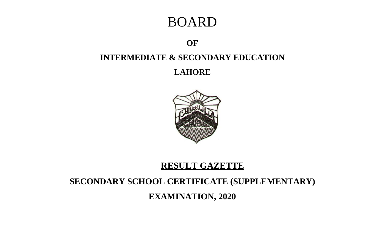# BOARD

## **OF**

## **INTERMEDIATE & SECONDARY EDUCATION**

**LAHORE**



## **RESULT GAZETTE**

# **SECONDARY SCHOOL CERTIFICATE (SUPPLEMENTARY)**

**EXAMINATION, 2020**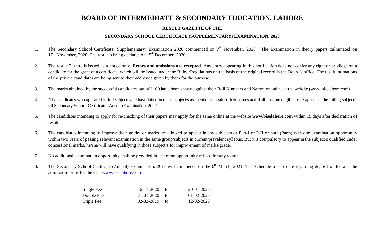### **BOARD OF INTERMEDIATE & SECONDARY EDUCATION, LAHORE**

#### **RESULT GAZETTE OF THE**

#### **SECONDARY SCHOOL CERTIFICATE (SUPPLEMENTARY) EXAMINATION, 2020**

- 1. The Secondary School Certificate (Supplementary) Examination 2020 commenced on 7<sup>th</sup> November, 2020. The Examination in theory papers culminated on  $17<sup>th</sup>$  November, 2020. The result is being declared on  $15<sup>th</sup>$  December, 2020.
- 2. The result Gazette is issued as a notice only. **Errors and omissions are excepted.** Any entry appearing in this notification does not confer any right or privilege on a candidate for the grant of a certificate, which will be issued under the Rules /Regulations on the basis of the original record in the Board's office. The result intimations of the private candidates are being sent to their addresses given by them for the purpose.
- 3. The marks obtained by the successful candidates out of 1100 have been shown against their Roll Numbers and Names on online at the website (www.biselahore.com).
- 4. The candidates who appeared in full subjects and have failed in these subject/s as mentioned against their names and Roll nos. are eligible to re-appear in the failing subject/s till Secondary School Certificate (Annual)Examination, 2022.
- 5. The candidates intending to apply for re-checking of their papers may apply for the same online at the website **www.biselahore.com** within 15 days after declaration of result.
- 6. The candidates intending to improve their grades or marks are allowed to appear in any subject/s or Part-I or P-II or both (Parts) with one examination opportunity within two years of passing relevant examination in the same group/subjects in current/prevalent syllabus. But it is compulsory to appear in the subject/s qualified under concessional marks, he/she will have qualifying in those subject/s for improvement of marks/grade.
- 7. No additional examination opportunity shall be provided in lieu of an opportunity missed for any reason.
- 8. The Secondary School Certificate (Annual) Examination, 2021 will commence on the 6<sup>th</sup> March, 2021. The Schedule of last date regarding deposit of fee and the admission forms for the visit www.biselahore.com

| Single Fee | $16 - 11 - 2020$ | tΩ | $20 - 01 - 2020$ |
|------------|------------------|----|------------------|
| Double Fee | 21-01-2020       | tΩ | $01 - 02 - 2020$ |
| Triple Fee | $02 - 02 - 2019$ | tΩ | 12-02-2020       |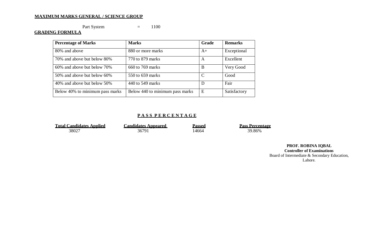#### **MAXIMUM MARKS GENERAL / SCIENCE GROUP**

Part System  $=$  1100

#### **GRADING FORMULA**

| <b>Percentage of Marks</b>      | <b>Marks</b>                    | <b>Grade</b>  | <b>Remarks</b> |
|---------------------------------|---------------------------------|---------------|----------------|
| 80% and above                   | 880 or more marks               | $A+$          | Exceptional    |
| 70% and above but below 80%     | 770 to 879 marks                | A             | Excellent      |
| 60% and above but below 70%     | 660 to 769 marks                | B             | Very Good      |
| 50% and above but below 60%     | 550 to 659 marks                | $\mathcal{C}$ | Good           |
| 40% and above but below 50%     | 440 to 549 marks                | D             | Fair           |
| Below 40% to minimum pass marks | Below 440 to minimum pass marks | E             | Satisfactory   |

#### **P A S S P E R C E N T A G E**

| <b>Total Candidates Applied</b> | <b>Candidates Appeared</b> | Passed | <b>Pass Percentage</b> |
|---------------------------------|----------------------------|--------|------------------------|
| 38027                           | 36791                      | .4664  | 39.86%                 |

**PROF. ROBINA IQBAL Controller of Examinations** Board of Intermediate & Secondary Education, Lahore.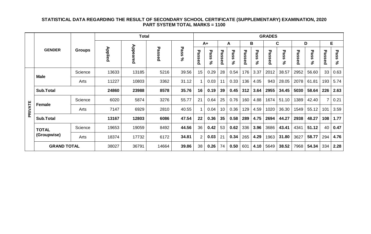#### **STATISTICAL DATA REGARDING THE RESULT OF SECONDARY SCHOOL CERTIFICATE (SUPPLEMENTARY) EXAMINATION, 2020 PART SYSTEM TOTAL MARKS = 1100**

|         |                    |               | <b>Total</b>   |          |        |            |                | <b>GRADES</b> |        |            |                            |                |             |            |        |                          |                |                         |
|---------|--------------------|---------------|----------------|----------|--------|------------|----------------|---------------|--------|------------|----------------------------|----------------|-------------|------------|--------|--------------------------|----------------|-------------------------|
|         | <b>GENDER</b>      |               |                |          |        |            | $A+$<br>A      |               |        | В          |                            | C              |             | D          |        | E                        |                |                         |
|         |                    | <b>Groups</b> | <b>Applied</b> | Appeared | Passed | Pass<br>వ్ | ᠊ᠣ<br>passe    | Pass<br>వి    | Passed | Pass<br>వి | ᠊ᠣ<br>as<br>Ö6<br>$\Omega$ | Pas<br>m<br>న్ | ᠊ᠣ<br>assed | Pass<br>వి | Passed | τ<br>تە<br>'n<br>n<br>వి | ᠊ᠣ<br>assed    | ᠊ᠣ<br>മ<br>n<br>w<br>వి |
|         |                    | Science       | 13633          | 13185    | 5216   | 39.56      | 15             | 0.29          | 28     | 0.54       | 176                        | 3.37           | 2012        | 38.57      | 2952   | 56.60                    | 33             | 0.63                    |
|         | <b>Male</b>        | Arts          | 11227          | 10803    | 3362   | 31.12      |                | 0.03          | 11     | 0.33       | 136                        | 4.05           | 943         | 28.05      | 2078   | 61.81                    | 193            | 5.74                    |
|         | <b>Sub.Total</b>   |               | 24860          | 23988    | 8578   | 35.76      | 16             | 0.19          | 39     | 0.45       | 312                        | 3.64           | 2955        | 34.45      | 5030   | 58.64                    | 226            | 2.63                    |
|         | <b>Female</b>      | Science       | 6020           | 5874     | 3276   | 55.77      | 21             | 0.64          | 25     | 0.76       | 160                        | 4.88           | 1674        | 51.10      | 1389   | 42.40                    | $\overline{7}$ | 0.21                    |
| PRIVATE |                    | Arts          | 7147           | 6929     | 2810   | 40.55      |                | 0.04          | 10     | 0.36       | 129                        | 4.59           | 1020        | 36.30      | 1549   | 55.12                    | 101            | 3.59                    |
|         | <b>Sub.Total</b>   |               | 13167          | 12803    | 6086   | 47.54      | 22             | 0.36          | 35     | 0.58       | 289                        | 4.75           | 2694        | 44.27      | 2938   | 48.27                    | 108            | 1.77                    |
|         | <b>TOTAL</b>       | Science       | 19653          | 19059    | 8492   | 44.56      | 36             | 0.42          | 53     | 0.62       | 336                        | 3.96           | 3686        | 43.41      | 4341   | 51.12                    | 40             | 0.47                    |
|         | (Groupwise)        | Arts          | 18374          | 17732    | 6172   | 34.81      | $\overline{2}$ | 0.03          | 21     | 0.34       | 265                        | 4.29           | 1963        | 31.80      | 3627   | 58.77                    | 294            | 4.76                    |
|         | <b>GRAND TOTAL</b> |               | 38027          | 36791    | 14664  | 39.86      | 38             | 0.26          | 74     | 0.50       | 601                        | 4.10           | 5649        | 38.52      | 7968   | 54.34                    | 334            | 2.28                    |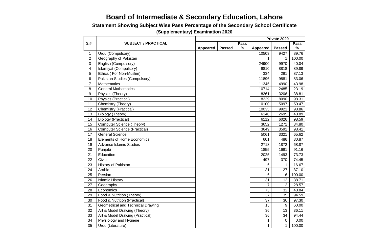## **Board of Intermediate & Secondary Education, Lahore**

**Statement Showing Subject Wise Pass Percentage of the Secondary School Certificate** 

|                         |                                     |                 |               |             | Private 2020    |                |             |
|-------------------------|-------------------------------------|-----------------|---------------|-------------|-----------------|----------------|-------------|
| $S+$                    | <b>SUBJECT / PRACTICAL</b>          |                 |               | <b>Pass</b> |                 |                | <b>Pass</b> |
|                         |                                     | <b>Appeared</b> | <b>Passed</b> | %           | <b>Appeared</b> | <b>Passed</b>  | $\%$        |
| $\mathbf 1$             | Urdu (Compulsory)                   |                 |               |             | 10503           | 9427           | 89.76       |
| $\overline{2}$          | Geography of Pakistan               |                 |               |             | 1               | 1              | 100.00      |
| 3                       | English (Compulsory)                |                 |               |             | 24900           | 9970           | 40.04       |
| $\overline{\mathbf{4}}$ | Islamiyat (Compulsory)              |                 |               |             | 9810            | 8818           | 89.89       |
| 5                       | Ethics (For Non-Muslim)             |                 |               |             | 334             | 291            | 87.13       |
| 6                       | Pakistan Studies (Compulsory)       |                 |               |             | 11896           | 9881           | 83.06       |
| $\overline{7}$          | Mathematics                         |                 |               |             | 11345           | 4990           | 43.98       |
| 8                       | <b>General Mathematics</b>          |                 |               |             | 10714           | 2485           | 23.19       |
| 9                       | Physics (Theory)                    |                 |               |             | 8261            | 3206           | 38.81       |
| 10                      | Physics (Practical)                 |                 |               |             | 8229            | 8090           | 98.31       |
| 11                      | Chemistry (Theory)                  |                 |               |             | 10100           | 5097           | 50.47       |
| 12                      | Chemistry (Practical)               |                 |               |             | 10035           | 9921           | 98.86       |
| 13                      | Biology (Theory)                    |                 |               |             | 6140            | 2695           | 43.89       |
| 14                      | <b>Biology (Practical)</b>          |                 |               |             | 6112            | 6026           | 98.59       |
| 15                      | <b>Computer Science (Theory)</b>    |                 |               |             | 3652            | 1271           | 34.80       |
| 16                      | <b>Computer Science (Practical)</b> |                 |               |             | 3649            | 3591           | 98.41       |
| 17                      | <b>General Science</b>              |                 |               |             | 5061            | 3321           | 65.62       |
| 18                      | <b>Elements of Home Economics</b>   |                 |               |             | 601             | 486            | 80.87       |
| 19                      | Advance Islamic Studies             |                 |               |             | 2718            | 1872           | 68.87       |
| 20                      | Punjabi                             |                 |               |             | 1855            | 1691           | 91.16       |
| 21                      | Education                           |                 |               |             | 2025            | 1493           | 73.73       |
| 22                      | Civics                              |                 |               |             | 497             | 370            | 74.45       |
| 23                      | History of Pakistan                 |                 |               |             | 6               | 1              | 16.67       |
| 24                      | Arabic                              |                 |               |             | 31              | 27             | 87.10       |
| 25                      | Persian                             |                 |               |             | 6               | 6              | 100.00      |
| 26                      | <b>Islamic History</b>              |                 |               |             | 31              | 12             | 38.71       |
| 27                      | Geography                           |                 |               |             | $\overline{7}$  | $\overline{2}$ | 28.57       |
| 28                      | Economics                           |                 |               |             | 73              | 32             | 43.84       |
| 29                      | Food & Nutrition (Theory)           |                 |               |             | 37              | 35             | 94.59       |
| 30                      | Food & Nutrition (Practical)        |                 |               |             | 37              | 36             | 97.30       |
| 31                      | Geometrical and Technical Drawing   |                 |               |             | 15              | 9              | 60.00       |
| 32                      | Art & Model Drawing (Theory)        |                 |               |             | 36              | 13             | 36.11       |
| 33                      | Art & Model Drawing (Practical)     |                 |               |             | 36              | 34             | 94.44       |
| 34                      | Physiology and Hygiene              |                 |               |             | 1               | $\mathbf 0$    | 0.00        |
| 35                      | Urdu (Literature)                   |                 |               |             | 1               | $\mathbf{1}$   | 100.00      |

**(Supplementary) Examination 2020**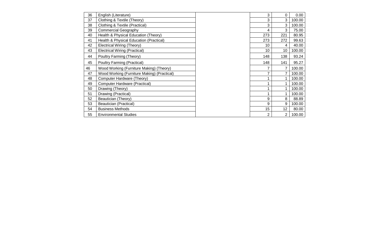| English (Literature)                        | 3               | 0               | 0.00   |
|---------------------------------------------|-----------------|-----------------|--------|
| Clothing & Textile (Theory)                 | 3               | 3               | 100.00 |
| Clothing & Textile (Practical)              | 3               | 3               | 100.00 |
| <b>Commercial Geography</b>                 | $\overline{4}$  | 3               | 75.00  |
| Health & Physical Education (Theory)        | 273             | 221             | 80.95  |
| Health & Physical Education (Practical)     | 273             | 272             | 99.63  |
| <b>Electrical Wiring (Theory)</b>           | 10 <sup>1</sup> | 4               | 40.00  |
| <b>Electrical Wiring (Practical)</b>        | 10 <sup>°</sup> | 10 <sup>°</sup> | 100.00 |
| Poultry Farming (Theory)                    | 148             | 138             | 93.24  |
| <b>Poultry Farming (Practical)</b>          | 148             | 141             | 95.27  |
| Wood Working (Furniture Making) (Theory)    | 7               | 7               | 100.00 |
| Wood Working (Furniture Making) (Practical) | 7               | 7               | 100.00 |
| Computer Hardware (Theory)                  | 1               | 1               | 100.00 |
| <b>Computer Hardware (Practical)</b>        | 1               | 1               | 100.00 |
| Drawing (Theory)                            | 1               | 1               | 100.00 |
| Drawing (Practical)                         | 1               | 1               | 100.00 |
| Beautician (Theory)                         | 9               | 8               | 88.89  |
| Beautician (Practical)                      | 9               | 9               | 100.00 |
| <b>Business Methods</b>                     | 15              | 12 <sub>2</sub> | 80.00  |
| <b>Environmental Studies</b>                | $\overline{2}$  | $\overline{2}$  | 100.00 |
|                                             |                 |                 |        |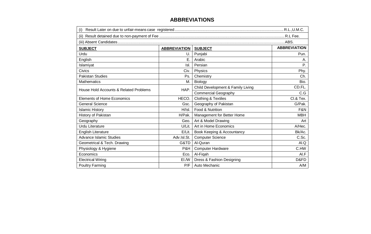#### **ABBREVIATIONS**

| (i)                                    |                     |                                   |                     |  |  |  |  |  |
|----------------------------------------|---------------------|-----------------------------------|---------------------|--|--|--|--|--|
| (ii)                                   |                     |                                   |                     |  |  |  |  |  |
|                                        |                     |                                   |                     |  |  |  |  |  |
| <b>SUBJECT</b>                         | <b>ABBREVIATION</b> | <b>SUBJECT</b>                    | <b>ABBREVIATION</b> |  |  |  |  |  |
| Urdu                                   | U.                  | Punjabi                           | Pun.                |  |  |  |  |  |
| English                                | Ε.                  | Arabic                            | Α.                  |  |  |  |  |  |
| Islamiyat                              | Isl.                | Persian                           | Ρ.                  |  |  |  |  |  |
| Civics                                 | Civ.                | Physics                           | Phy.                |  |  |  |  |  |
| <b>Pakistan Studies</b>                | Ps.                 | Chemistry                         | Ch.                 |  |  |  |  |  |
| <b>Mathematics</b>                     | М.                  | Biology                           | Bio.                |  |  |  |  |  |
| House Hold Accounts & Related Problems | HAP.                | Child Development & Family Living | CD.FL.              |  |  |  |  |  |
|                                        |                     | <b>Commercial Geography</b>       | C.G                 |  |  |  |  |  |
| <b>Elements of Home Economics</b>      | HECO.               | <b>Clothing &amp; Textiles</b>    | CI.& Tex.           |  |  |  |  |  |
| <b>General Science</b>                 | Gsc.                | Geography of Pakistan             | G/Pak.              |  |  |  |  |  |
| <b>Islamic History</b>                 | H/Isl.              | Food & Nutrition                  | F&N                 |  |  |  |  |  |
| History of Pakistan                    | H/Pak.              | Management for Better Home        | <b>MBH</b>          |  |  |  |  |  |
| Geography                              | Geo.                | Art & Model Drawing               | Art                 |  |  |  |  |  |
| <b>Urdu Literature</b>                 | U/Lit.              | Art in Home Economics             | A/Hec.              |  |  |  |  |  |
| <b>English Literature</b>              | E/Lit.              | Book Keeping & Accountancy        | Bk/Ac.              |  |  |  |  |  |
| <b>Advance Islamic Studies</b>         | Adv.Isl.St.         | <b>Computer Science</b>           | C.Sc.               |  |  |  |  |  |
| Geometrical & Tech. Drawing            | G&TD                | Al-Quran                          | AI.Q                |  |  |  |  |  |
| Physiology & Hygiene                   | P&H                 | <b>Computer Hardware</b>          | C.HW                |  |  |  |  |  |
| Economics                              | Eco.                | Al-Fiqah                          | AI.F                |  |  |  |  |  |
| <b>Electrical Wiring</b>               | EI./W               | Dress & Fashion Designing         | D&FD                |  |  |  |  |  |
| <b>Poultry Farming</b>                 | P/F                 | Auto Mechanic                     | A/M                 |  |  |  |  |  |